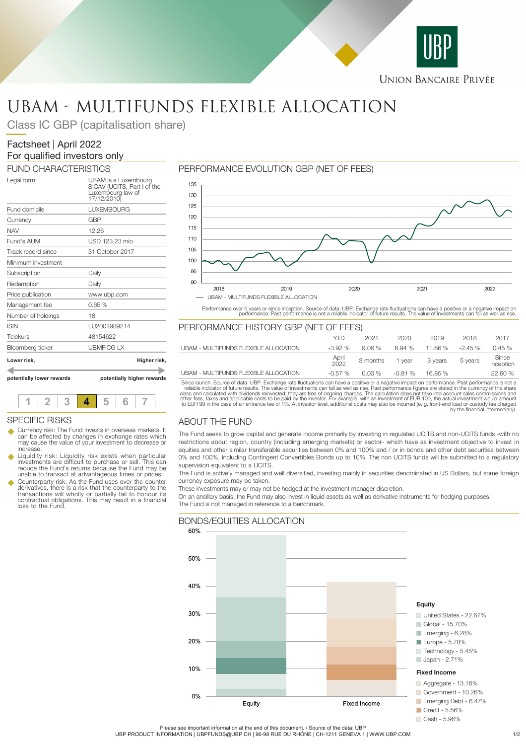

# UBAM - MULTIFUNDS FLEXIBLE ALLOCATION

Class IC GBP (capitalisation share)

## Factsheet | April 2022 For qualified investors only

FUND CHARACTERISTICS

| potentially lower rewards | potentially higher rewards                                                              |
|---------------------------|-----------------------------------------------------------------------------------------|
| Lower risk,               | Higher risk,                                                                            |
| Bloomberg ticker          | <b>UBMFICG LX</b>                                                                       |
| Telekurs                  | 48154622                                                                                |
| <b>ISIN</b>               | LU2001989214                                                                            |
| Number of holdings        | 18                                                                                      |
| Management fee            | 0.65%                                                                                   |
| Price publication         | www.ubp.com                                                                             |
| Redemption                | Daily                                                                                   |
| Subscription              | Daily                                                                                   |
| Minimum investment        |                                                                                         |
| Track record since        | 31 October 2017                                                                         |
| Fund's AUM                | USD 123.23 mio                                                                          |
| <b>NAV</b>                | 12.26                                                                                   |
| Currency                  | GBP                                                                                     |
| Fund domicile             | <b>LUXEMBOURG</b>                                                                       |
| Legal form                | UBAM is a Luxembourg<br>SICAV (UCITS, Part I of the<br>Luxembourg law of<br>17/12/2010) |

**1 2 3 4 5 6 7**

Currency risk: The Fund invests in overseas markets. It can be affected by changes in exchange rates which may cause the value of your investment to decrease or

Liquidity risk: Liquidity risk exists when particular<br>investments are difficult to purchase or sell. This can<br>reduce the Fund's returns because the Fund may be unable to transact at advantageous times or prices. Counterparty risk: As the Fund uses over-the-counter derivatives, there is a risk that the counterparty to the transactions will wholly or partially fail to honour its contractual obligations. This may result in a financial

SPECIFIC RISKS

loss to the Fund.

increase.

## PERFORMANCE EVOLUTION GBP (NET OF FEES)



Performance over 5 years or since inception. Source of data: UBP. Exchange rate fluctuations can have a positive or a negative impact on<br>performance. Past performance is not a reliable indicator of future results. The valu

## PERFORMANCE HISTORY GBP (NET OF FEES)

|                                       | YTD           | 2021                    | 2020               | 2019    | 2018      | 2017               |
|---------------------------------------|---------------|-------------------------|--------------------|---------|-----------|--------------------|
| UBAM - MULTIFUNDS FLEXIBLE ALLOCATION | $-3.92%$      | 9.06%                   | 6.94 %             | 11.66 % | $-2.45\%$ | 0.45%              |
|                                       | April<br>2022 | 3 months 1 year 3 years |                    |         | 5 years   | Since<br>inception |
| UBAM - MULTIFUNDS FLEXIBLE ALLOCATION | $-0.57$ %     |                         | $0.00\%$ $-0.81\%$ | 16.85 % |           | 22.60 %            |

Since launch. Source of data: UBP. Exchange rate fluctuations can have a positive or a negative impact on performance. Past performance is not a reliable indicator of future results. The value of investments can fall as we

## ABOUT THE FUND

The Fund seeks to grow capital and generate income primarily by investing in regulated UCITS and non-UCITS funds -with no restrictions about region, country (including emerging markets) or sector- which have as investment objective to invest in equities and other similar transferable securities between 0% and 100% and / or in bonds and other debt securities between 0% and 100%, including Contingent Convertibles Bonds up to 10%. The non UCITS funds will be submitted to a regulatory supervision equivalent to a UCITS.

The Fund is actively managed and well diversified, investing mainly in securities denominated in US Dollars, but some foreign currency exposure may be taken.

These investments may or may not be hedged at the investment manager discretion.

On an ancillary basis, the Fund may also invest in liquid assets as well as derivative instruments for hedging purposes. The Fund is not managed in reference to a benchmark.



## Please see important information at the end of this document. / Source of the data: UBP

UBP PRODUCT INFORMATION | UBPFUNDS@UBP.CH | 96-98 RUE DU RHÔNE | CH-1211 GENEVA 1 | WWW.UBP.COM 1/2